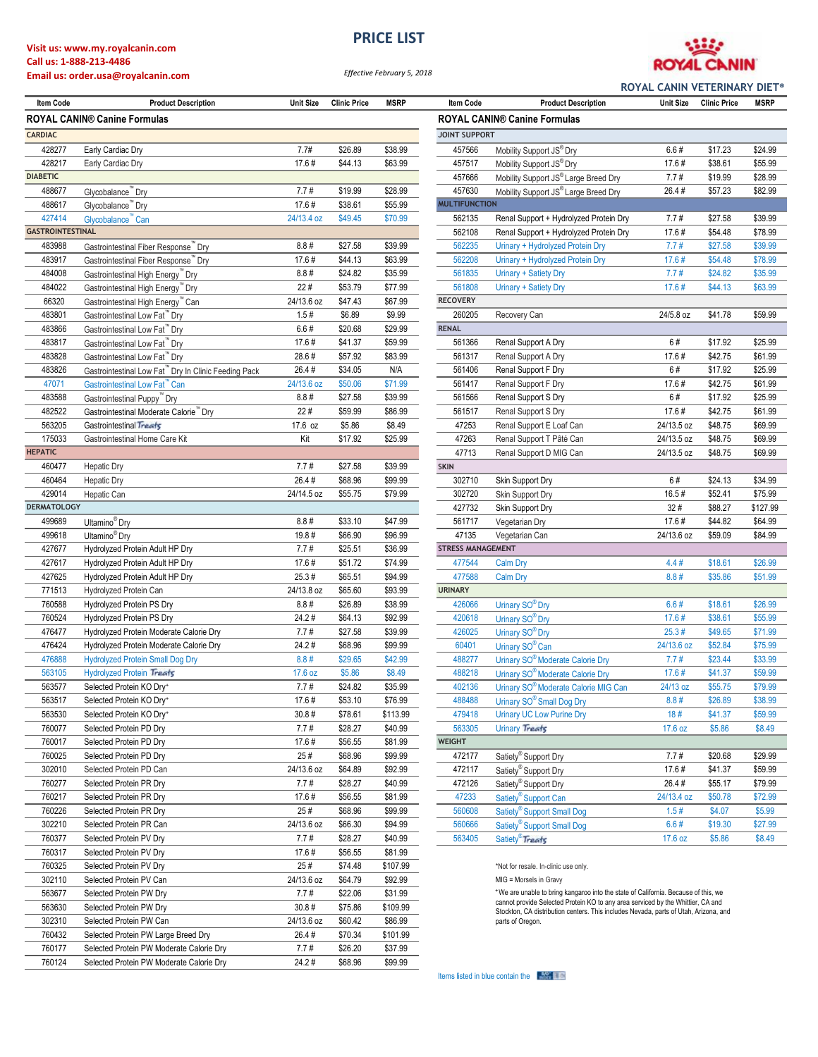#### **Visit us: www.my.royalcanin.com Call us: 1-888-213-4486**

### **Email us: order.usa@royalcanin.com**

*Effective February 5, 2018* **PRICE LIST**



**ROYAL CANIN VETERINARY DIET®**

| <b>Item Code</b>        | <b>Product Description</b>                                                 | <b>Unit Size</b> | <b>Clinic Price</b> | <b>MSRP</b> | <b>Item Code</b>         | <b>Product Description</b>                                                                                                                                            | <b>Unit Size</b> | <b>Clinic Price</b> | <b>MSRP</b> |
|-------------------------|----------------------------------------------------------------------------|------------------|---------------------|-------------|--------------------------|-----------------------------------------------------------------------------------------------------------------------------------------------------------------------|------------------|---------------------|-------------|
|                         | <b>ROYAL CANIN® Canine Formulas</b><br><b>ROYAL CANIN® Canine Formulas</b> |                  |                     |             |                          |                                                                                                                                                                       |                  |                     |             |
| <b>CARDIAC</b>          |                                                                            |                  |                     |             | <b>JOINT SUPPORT</b>     |                                                                                                                                                                       |                  |                     |             |
| 428277                  | Early Cardiac Dry                                                          | 7.7#             | \$26.89             | \$38.99     | 457566                   | Mobility Support JS® Dry                                                                                                                                              | 6.6#             | \$17.23             | \$24.99     |
| 428217                  | Early Cardiac Dry                                                          | 17.6#            | \$44.13             | \$63.99     | 457517                   | Mobility Support JS® Dry                                                                                                                                              | 17.6#            | \$38.61             | \$55.99     |
| <b>DIABETIC</b>         |                                                                            |                  |                     |             | 457666                   | Mobility Support JS® Large Breed Dry                                                                                                                                  | 7.7#             | \$19.99             | \$28.99     |
| 488677                  | Glycobalance™ Dry                                                          | 7.7#             | \$19.99             | \$28.99     | 457630                   | Mobility Support JS® Large Breed Dry                                                                                                                                  | 26.4#            | \$57.23             | \$82.99     |
| 488617                  | Glycobalance™ Dry                                                          | 17.6#            | \$38.61             | \$55.99     | <b>MULTIFUNCTION</b>     |                                                                                                                                                                       |                  |                     |             |
| 427414                  | Glycobalance" Can                                                          | 24/13.4 oz       | \$49.45             | \$70.99     | 562135                   | Renal Support + Hydrolyzed Protein Dry                                                                                                                                | 7.7#             | \$27.58             | \$39.99     |
| <b>GASTROINTESTINAL</b> |                                                                            |                  |                     |             | 562108                   | Renal Support + Hydrolyzed Protein Dry                                                                                                                                | 17.6#            | \$54.48             | \$78.99     |
| 483988                  | Gastrointestinal Fiber Response" Dry                                       | 8.8#             | \$27.58             | \$39.99     | 562235                   | Urinary + Hydrolyzed Protein Dry                                                                                                                                      | 7.7#             | \$27.58             | \$39.99     |
| 483917                  | Gastrointestinal Fiber Response" Dry                                       | 17.6#            | \$44.13             | \$63.99     | 562208                   | Urinary + Hydrolyzed Protein Dry                                                                                                                                      | 17.6#            | \$54.48             | \$78.99     |
| 484008                  | Gastrointestinal High Energy <sup>"</sup> Dry                              | 8.8#             | \$24.82             | \$35.99     | 561835                   | Urinary + Satiety Dry                                                                                                                                                 | 7.7#             | \$24.82             | \$35.99     |
| 484022                  | Gastrointestinal High Energy <sup>"</sup> Dry                              | 22#              | \$53.79             | \$77.99     | 561808                   | Urinary + Satiety Dry                                                                                                                                                 | 17.6#            | \$44.13             | \$63.99     |
| 66320                   | Gastrointestinal High Energy™ Can                                          | 24/13.6 oz       | \$47.43             | \$67.99     | <b>RECOVERY</b>          |                                                                                                                                                                       |                  |                     |             |
| 483801                  | Gastrointestinal Low Fat" Dry                                              | 1.5#             | \$6.89              | \$9.99      | 260205                   | Recovery Can                                                                                                                                                          | 24/5.8 oz        | \$41.78             | \$59.99     |
| 483866                  | Gastrointestinal Low Fat <sup>™</sup> Dry                                  | 6.6#             | \$20.68             | \$29.99     | <b>RENAL</b>             |                                                                                                                                                                       |                  |                     |             |
| 483817                  | Gastrointestinal Low Fat" Dry                                              | 17.6#            | \$41.37             | \$59.99     | 561366                   | Renal Support A Dry                                                                                                                                                   | 6#               | \$17.92             | \$25.99     |
| 483828                  | Gastrointestinal Low Fat <sup>™</sup> Dry                                  | 28.6#            | \$57.92             | \$83.99     | 561317                   | Renal Support A Dry                                                                                                                                                   | 17.6#            | \$42.75             | \$61.99     |
| 483826                  | Gastrointestinal Low Fat" Dry In Clinic Feeding Pack                       | 26.4#            | \$34.05             | N/A         | 561406                   | Renal Support F Dry                                                                                                                                                   | 6#               | \$17.92             | \$25.99     |
| 47071                   | Gastrointestinal Low Fat" Can                                              | 24/13.6 oz       | \$50.06             | \$71.99     | 561417                   | Renal Support F Dry                                                                                                                                                   | 17.6#            | \$42.75             | \$61.99     |
| 483588                  | Gastrointestinal Puppy <sup>™</sup> Dry                                    | 8.8#             | \$27.58             | \$39.99     | 561566                   | Renal Support S Dry                                                                                                                                                   | 6#               | \$17.92             | \$25.99     |
| 482522                  | Gastrointestinal Moderate Calorie" Dry                                     | 22#              | \$59.99             | \$86.99     | 561517                   | Renal Support S Dry                                                                                                                                                   | 17.6#            | \$42.75             | \$61.99     |
| 563205                  | Gastrointestinal Treats                                                    | 17.6 oz          | \$5.86              | \$8.49      | 47253                    | Renal Support E Loaf Can                                                                                                                                              | 24/13.5 oz       | \$48.75             | \$69.99     |
| 175033                  | Gastrointestinal Home Care Kit                                             | Kit              | \$17.92             | \$25.99     | 47263                    | Renal Support T Pâté Can                                                                                                                                              | 24/13.5 oz       | \$48.75             | \$69.99     |
| <b>HEPATIC</b>          |                                                                            |                  |                     |             | 47713                    | Renal Support D MIG Can                                                                                                                                               | 24/13.5 oz       | \$48.75             | \$69.99     |
| 460477                  | <b>Hepatic Dry</b>                                                         | 7.7#             | \$27.58             | \$39.99     | <b>SKIN</b>              |                                                                                                                                                                       |                  |                     |             |
| 460464                  | <b>Hepatic Dry</b>                                                         | 26.4#            | \$68.96             | \$99.99     | 302710                   | Skin Support Dry                                                                                                                                                      | 6#               | \$24.13             | \$34.99     |
| 429014                  | Hepatic Can                                                                | 24/14.5 oz       | \$55.75             | \$79.99     | 302720                   | Skin Support Dry                                                                                                                                                      | 16.5#            | \$52.41             | \$75.99     |
| <b>DERMATOLOGY</b>      |                                                                            |                  |                     |             | 427732                   | Skin Support Dry                                                                                                                                                      | 32#              | \$88.27             | \$127.9     |
| 499689                  | Ultamino <sup>®</sup> Dry                                                  | 8.8#             | \$33.10             | \$47.99     | 561717                   | Vegetarian Dry                                                                                                                                                        | 17.6#            | \$44.82             | \$64.99     |
| 499618                  | Ultamino <sup>®</sup> Dry                                                  | 19.8#            | \$66.90             | \$96.99     | 47135                    | Vegetarian Can                                                                                                                                                        | 24/13.6 oz       | \$59.09             | \$84.99     |
| 427677                  | Hydrolyzed Protein Adult HP Dry                                            | 7.7#             | \$25.51             | \$36.99     | <b>STRESS MANAGEMENT</b> |                                                                                                                                                                       |                  |                     |             |
| 427617                  | Hydrolyzed Protein Adult HP Dry                                            | 17.6#            | \$51.72             | \$74.99     | 477544                   | <b>Calm Dry</b>                                                                                                                                                       | 4.4#             | \$18.61             | \$26.99     |
| 427625                  | Hydrolyzed Protein Adult HP Dry                                            | 25.3#            | \$65.51             | \$94.99     | 477588                   | <b>Calm Dry</b>                                                                                                                                                       | 8.8#             | \$35.86             | \$51.99     |
| 771513                  |                                                                            | 24/13.8 oz       | \$65.60             | \$93.99     | <b>URINARY</b>           |                                                                                                                                                                       |                  |                     |             |
| 760588                  | Hydrolyzed Protein Can<br>Hydrolyzed Protein PS Dry                        | 8.8#             | \$26.89             | \$38.99     | 426066                   |                                                                                                                                                                       | 6.6#             | \$18.61             | \$26.99     |
| 760524                  | Hydrolyzed Protein PS Dry                                                  | 24.2#            | \$64.13             | \$92.99     | 420618                   | Urinary SO <sup>®</sup> Dry<br>Urinary SO <sup>®</sup> Dry                                                                                                            | 17.6#            | \$38.61             | \$55.99     |
| 476477                  | Hydrolyzed Protein Moderate Calorie Dry                                    | 7.7#             | \$27.58             | \$39.99     | 426025                   | Urinary SO <sup>®</sup> Dry                                                                                                                                           | 25.3#            | \$49.65             | \$71.99     |
| 476424                  | Hydrolyzed Protein Moderate Calorie Dry                                    | 24.2#            | \$68.96             | \$99.99     | 60401                    | Urinary SO <sup>®</sup> Can                                                                                                                                           | 24/13.6 oz       | \$52.84             | \$75.99     |
| 476888                  | <b>Hydrolyzed Protein Small Dog Dry</b>                                    | 8.8#             | \$29.65             | \$42.99     | 488277                   |                                                                                                                                                                       | 7.7#             | \$23.44             | \$33.99     |
| 563105                  | <b>Hydrolyzed Protein Treats</b>                                           | 17.6 oz          | \$5.86              | \$8.49      | 488218                   | Urinary SO <sup>®</sup> Moderate Calorie Dry<br>Urinary SO <sup>®</sup> Moderate Calorie Dry                                                                          | 17.6#            | \$41.37             | \$59.99     |
| 563577                  | Selected Protein KO Dry+                                                   | 7.7#             | \$24.82             | \$35.99     | 402136                   |                                                                                                                                                                       | 24/13 oz         | \$55.75             | \$79.99     |
|                         |                                                                            |                  |                     |             |                          | Urinary SO <sup>®</sup> Moderate Calorie MIG Can                                                                                                                      |                  |                     |             |
| 563517                  | Selected Protein KO Dry+                                                   | 17.6#            | \$53.10             | \$76.99     | 488488                   | Urinary SO <sup>®</sup> Small Dog Dry                                                                                                                                 | 8.8#             | \$26.89             | \$38.99     |
| 563530                  | Selected Protein KO Dry+                                                   | 30.8#            | \$78.61             | \$113.99    | 479418                   | <b>Urinary UC Low Purine Dry</b>                                                                                                                                      | 18#              | \$41.37             | \$59.99     |
| 760077                  | Selected Protein PD Dry                                                    | 7.7#             | \$28.27             | \$40.99     | 563305                   | Urinary Treats                                                                                                                                                        | 17.6 oz          | \$5.86              | \$8.49      |
| 760017                  | Selected Protein PD Dry                                                    | 17.6#            | \$56.55             | \$81.99     | <b>WEIGHT</b>            |                                                                                                                                                                       |                  |                     |             |
| 760025                  | Selected Protein PD Dry                                                    | 25#              | \$68.96             | \$99.99     | 472177                   | Satiety <sup>®</sup> Support Dry                                                                                                                                      | 7.7#             | \$20.68             | \$29.99     |
| 302010                  | Selected Protein PD Can                                                    | 24/13.6 oz       | \$64.89             | \$92.99     | 472117                   | Satiety <sup>®</sup> Support Dry                                                                                                                                      | 17.6#            | \$41.37             | \$59.99     |
| 760277                  | Selected Protein PR Dry                                                    | 7.7#             | \$28.27             | \$40.99     | 472126                   | Satiety <sup>®</sup> Support Dry                                                                                                                                      | 26.4#            | \$55.17             | \$79.99     |
| 760217                  | Selected Protein PR Dry                                                    | 17.6#            | \$56.55             | \$81.99     | 47233                    | Satiety <sup>®</sup> Support Can                                                                                                                                      | 24/13.4 oz       | \$50.78             | \$72.99     |
| 760226                  | Selected Protein PR Dry                                                    | 25#              | \$68.96             | \$99.99     | 560608                   | Satiety <sup>®</sup> Support Small Dog                                                                                                                                | 1.5#             | \$4.07              | \$5.99      |
| 302210                  | Selected Protein PR Can                                                    | 24/13.6 oz       | \$66.30             | \$94.99     | 560666                   | Satiety <sup>®</sup> Support Small Dog                                                                                                                                | 6.6#             | \$19.30             | \$27.99     |
| 760377                  | Selected Protein PV Dry                                                    | 7.7#             | \$28.27             | \$40.99     | 563405                   | Satiety <sup>®</sup> Treats                                                                                                                                           | 17.6 oz          | \$5.86              | \$8.49      |
| 760317                  | Selected Protein PV Dry                                                    | 17.6#            | \$56.55             | \$81.99     |                          |                                                                                                                                                                       |                  |                     |             |
| 760325                  | Selected Protein PV Dry                                                    | 25#              | \$74.48             | \$107.99    |                          | *Not for resale. In-clinic use only.                                                                                                                                  |                  |                     |             |
| 302110                  | Selected Protein PV Can                                                    | 24/13.6 oz       | \$64.79             | \$92.99     |                          | MIG = Morsels in Gravy                                                                                                                                                |                  |                     |             |
| 563677                  | Selected Protein PW Dry                                                    | 7.7#             | \$22.06             | \$31.99     |                          | *We are unable to bring kangaroo into the state of California. Because of this, we<br>cannot provide Selected Protein KO to any area serviced by the Whittier, CA and |                  |                     |             |
| 563630                  | Selected Protein PW Dry                                                    | 30.8#            | \$75.86             | \$109.99    |                          | Stockton, CA distribution centers. This includes Nevada, parts of Utah, Arizona, and                                                                                  |                  |                     |             |
| 302310                  | Selected Protein PW Can                                                    | 24/13.6 oz       | \$60.42             | \$86.99     |                          | parts of Oregon.                                                                                                                                                      |                  |                     |             |
| 760432                  | Selected Protein PW Large Breed Dry                                        | 26.4#            | \$70.34             | \$101.99    |                          |                                                                                                                                                                       |                  |                     |             |
| 760177                  | Selected Protein PW Moderate Calorie Dry                                   | 7.7#             | \$26.20             | \$37.99     |                          |                                                                                                                                                                       |                  |                     |             |
| 760124                  | Selected Protein PW Moderate Calorie Dry                                   | 24.2#            | \$68.96             | \$99.99     |                          |                                                                                                                                                                       |                  |                     |             |

| <b>ROYAL CANIN® Canine Formulas</b> |                                                                       |               |                   |                   |  |  |  |
|-------------------------------------|-----------------------------------------------------------------------|---------------|-------------------|-------------------|--|--|--|
| <b>JOINT SUPPORT</b>                |                                                                       |               |                   |                   |  |  |  |
| 457566                              | Mobility Support JS® Dry                                              | 6.6#          | \$17.23           | \$24.99           |  |  |  |
| 457517                              | Mobility Support JS® Dry                                              | 17.6#         | \$38.61           | \$55.99           |  |  |  |
| 457666                              | Mobility Support JS® Large Breed Dry                                  | 7.7#          | \$19.99           | \$28.99           |  |  |  |
| 457630                              | Mobility Support JS® Large Breed Dry                                  | 26.4#         | \$57.23           | \$82.99           |  |  |  |
| <b>MULTIFUNCTION</b>                |                                                                       |               |                   |                   |  |  |  |
| 562135                              | Renal Support + Hydrolyzed Protein Dry                                | 7.7#          | \$27.58           | \$39.99           |  |  |  |
| 562108                              | Renal Support + Hydrolyzed Protein Dry                                | 17.6#         | \$54.48           | \$78.99           |  |  |  |
| 562235                              | Urinary + Hydrolyzed Protein Dry                                      | 7.7#          | \$27.58           | \$39.99           |  |  |  |
| 562208                              | Urinary + Hydrolyzed Protein Dry                                      | 17.6#         | \$54.48           | \$78.99           |  |  |  |
| 561835                              | Urinary + Satiety Dry                                                 | 7.7#          | \$24.82           | \$35.99           |  |  |  |
| 561808                              | Urinary + Satiety Dry                                                 | 17.6#         | \$44.13           | \$63.99           |  |  |  |
| <b>RECOVERY</b>                     |                                                                       |               |                   |                   |  |  |  |
| 260205                              | Recovery Can                                                          | 24/5.8 oz     | \$41.78           | \$59.99           |  |  |  |
| <b>RENAL</b>                        |                                                                       |               |                   |                   |  |  |  |
| 561366                              | Renal Support A Dry                                                   | 6#            | \$17.92           | \$25.99           |  |  |  |
| 561317                              | Renal Support A Dry                                                   | 17.6#         | \$42.75           | \$61.99           |  |  |  |
| 561406                              | Renal Support F Dry                                                   | 6#            | \$17.92           | \$25.99           |  |  |  |
| 561417                              | Renal Support F Dry                                                   | 17.6#         | \$42.75           | \$61.99           |  |  |  |
| 561566                              | Renal Support S Dry                                                   | 6#            | \$17.92           | \$25.99           |  |  |  |
| 561517                              | Renal Support S Dry                                                   | 17.6#         | \$42.75           | \$61.99           |  |  |  |
| 47253                               | Renal Support E Loaf Can                                              | 24/13.5 oz    | \$48.75           | \$69.99           |  |  |  |
| 47263                               | Renal Support T Pâté Can                                              | 24/13.5 oz    | \$48.75           | \$69.99           |  |  |  |
| 47713                               | Renal Support D MIG Can                                               | 24/13.5 oz    | \$48.75           | \$69.99           |  |  |  |
| <b>SKIN</b>                         |                                                                       |               |                   |                   |  |  |  |
| 302710                              | Skin Support Dry                                                      | 6#            | \$24.13           | \$34.99           |  |  |  |
| 302720                              | Skin Support Dry                                                      | 16.5#         | \$52.41           | \$75.99           |  |  |  |
| 427732                              | Skin Support Dry                                                      | 32#           | \$88.27           | \$127.99          |  |  |  |
| 561717                              | Vegetarian Dry                                                        | 17.6#         | \$44.82           | \$64.99           |  |  |  |
| 47135                               | Vegetarian Can                                                        | 24/13.6 oz    | \$59.09           | \$84.99           |  |  |  |
| <b>STRESS MANAGEMENT</b>            |                                                                       |               |                   |                   |  |  |  |
| 477544                              | <b>Calm Dry</b>                                                       | 4.4#          | \$18.61           | \$26.99           |  |  |  |
| 477588                              | <b>Calm Dry</b>                                                       | 8.8#          | \$35.86           | \$51.99           |  |  |  |
| <b>URINARY</b>                      |                                                                       |               |                   |                   |  |  |  |
| 426066                              | Urinary SO <sup>®</sup> Dry                                           | 6.6#          | \$18.61           | \$26.99           |  |  |  |
| 420618                              | Urinary SO <sup>®</sup> Dry                                           | 17.6#         | \$38.61           | \$55.99           |  |  |  |
| 426025                              | Urinary SO <sup>®</sup> Dry                                           | 25.3#         | \$49.65           | \$71.99           |  |  |  |
| 60401                               | Urinary SO <sup>®</sup> Can                                           | 24/13.6 oz    | \$52.84           | \$75.99           |  |  |  |
| 488277                              | Urinary SO <sup>®</sup> Moderate Calorie Dry                          | 7.7#          | \$23.44           | \$33.99           |  |  |  |
| 488218                              | Urinary SO <sup>®</sup> Moderate Calorie Dry                          | 17.6#         | \$41.37           | \$59.99           |  |  |  |
| 402136                              | Urinary SO <sup>®</sup> Moderate Calorie MIG Can                      | 24/13 oz      | \$55.75           | \$79.99           |  |  |  |
| 488488                              | Urinary SO <sup>®</sup> Small Dog Dry                                 | 8.8#          | \$26.89           | \$38.99           |  |  |  |
| 479418                              | <b>Urinary UC Low Purine Dry</b>                                      | 18#           | \$41.37           | \$59.99           |  |  |  |
| 563305                              | <b>Urinary Treats</b>                                                 | 17.6 oz       | \$5.86            | \$8.49            |  |  |  |
| <b>WEIGHT</b>                       |                                                                       |               |                   |                   |  |  |  |
| 472177                              | Satiety <sup>®</sup> Support Dry                                      | 7.7#          | \$20.68           | \$29.99           |  |  |  |
| 472117                              | Satiety <sup>®</sup> Support Dry                                      | 17.6#         | \$41.37           | \$59.99           |  |  |  |
| 472126                              | Satiety <sup>®</sup> Support Dry                                      | 26.4#         | \$55.17           | \$79.99           |  |  |  |
| 47233                               | Satiety <sup>®</sup> Support Can                                      | 24/13.4 oz    | \$50.78           | \$72.99           |  |  |  |
| 560608                              | Satiety <sup>®</sup> Support Small Dog                                | 1.5#          | \$4.07            | \$5.99            |  |  |  |
| 560666<br>563405                    | Satiety <sup>®</sup> Support Small Dog<br>Satioty <sup>®</sup> Treate | 6.6#<br>1760z | \$19.30<br>\$5.86 | \$27.99<br>\$8.49 |  |  |  |
|                                     |                                                                       |               |                   |                   |  |  |  |

**Item Code Product Description Unit Size Clinic Price MSRP Item Code Product Description Unit Size Clinic Price MSRP**

Items listed in blue contain the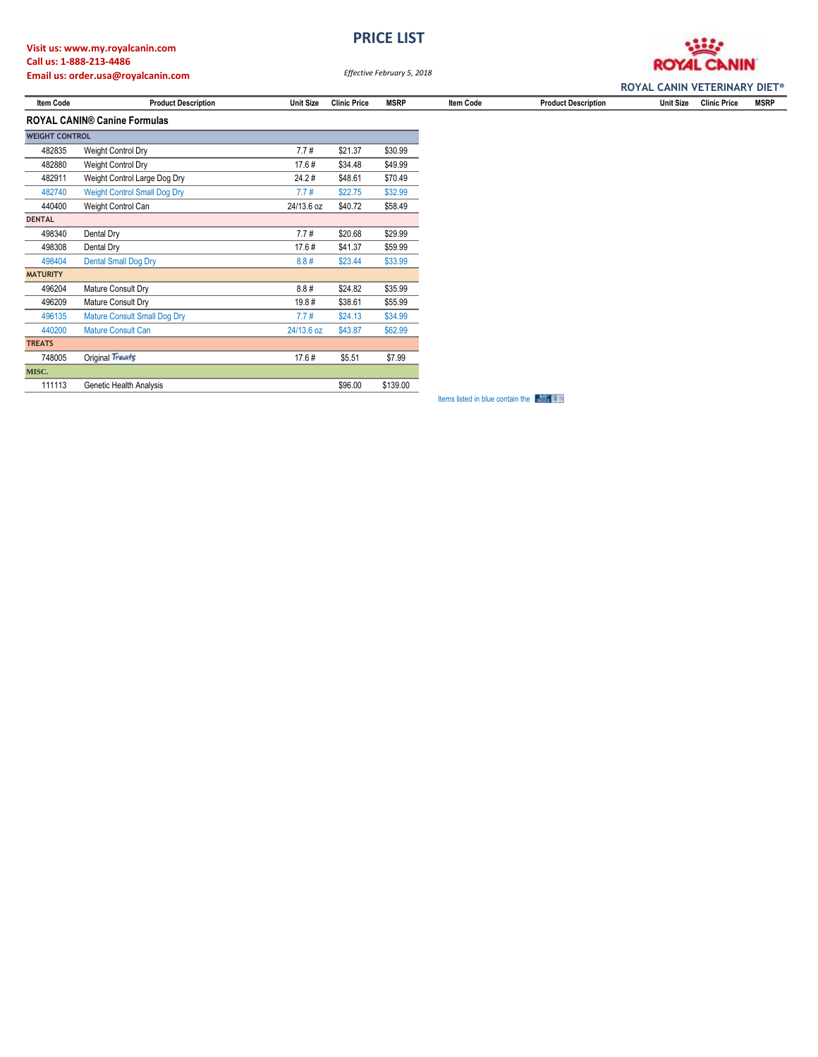# **Visit us: www.my.royalcanin.com Call us: 1-888-213-4486**

**PRICE LIST**



**Email us: order.usa@royalcanin.com**

*Effective February 5, 2018*

|                                     |                            |                  |                     | <b>ROYAL CANIN VETERINARY DIET<sup>®</sup></b> |           |                            |                  |                     |             |
|-------------------------------------|----------------------------|------------------|---------------------|------------------------------------------------|-----------|----------------------------|------------------|---------------------|-------------|
| <b>Item Code</b>                    | <b>Product Description</b> | <b>Unit Size</b> | <b>Clinic Price</b> | <b>MSRP</b>                                    | Item Code | <b>Product Description</b> | <b>Unit Size</b> | <b>Clinic Price</b> | <b>MSRP</b> |
| <b>ROYAL CANIN® Canine Formulas</b> |                            |                  |                     |                                                |           |                            |                  |                     |             |

| <b>WEIGHT CONTROL</b> |                                     |            |         |          |
|-----------------------|-------------------------------------|------------|---------|----------|
| 482835                | <b>Weight Control Dry</b>           | 7.7#       | \$21.37 | \$30.99  |
| 482880                | <b>Weight Control Dry</b>           | 17.6#      | \$34.48 | \$49.99  |
| 482911                | Weight Control Large Dog Dry        | 24.2#      | \$48.61 | \$70.49  |
| 482740                | <b>Weight Control Small Dog Dry</b> | 7.7#       | \$22.75 | \$32.99  |
| 440400                | Weight Control Can                  | 24/13.6 oz | \$40.72 | \$58.49  |
| <b>DENTAL</b>         |                                     |            |         |          |
| 498340                | Dental Dry                          | 7.7#       | \$20.68 | \$29.99  |
| 498308                | Dental Dry                          | 17.6#      | \$41.37 | \$59.99  |
| 498404                | <b>Dental Small Dog Dry</b>         | 8.8#       | \$23.44 | \$33.99  |
| <b>MATURITY</b>       |                                     |            |         |          |
| 496204                | Mature Consult Dry                  | 8.8#       | \$24.82 | \$35.99  |
| 496209                | Mature Consult Dry                  | 19.8#      | \$38.61 | \$55.99  |
| 496135                | <b>Mature Consult Small Dog Dry</b> | 7.7#       | \$24.13 | \$34.99  |
| 440200                | <b>Mature Consult Can</b>           | 24/13.6 oz | \$43.87 | \$62.99  |
| <b>TREATS</b>         |                                     |            |         |          |
| 748005                | Original Treats                     | 17.6#      | \$5.51  | \$7.99   |
| MISC.                 |                                     |            |         |          |
| 111113                | Genetic Health Analysis             |            | \$96.00 | \$139.00 |

**Items listed in blue contain the**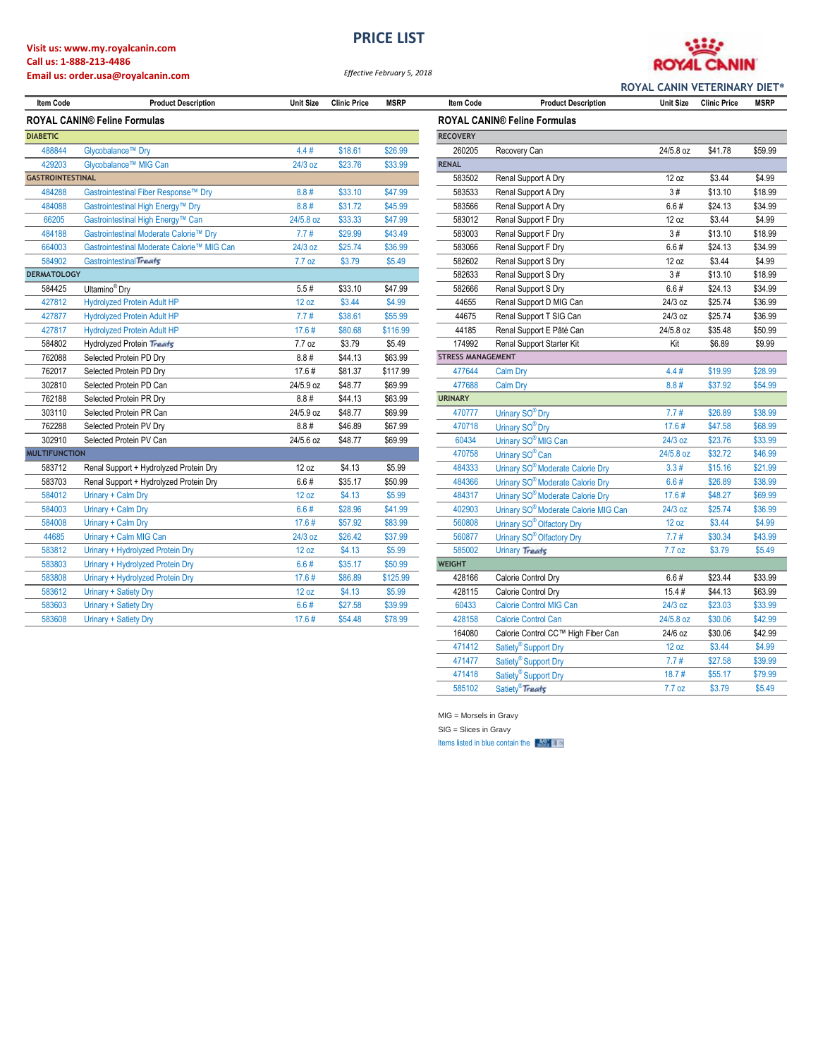## **Visit us: www.my.royalcanin.com Call us: 1-888-213-4486**

## **Email us: order.usa@royalcanin.com**

**PRICE LIST**



*Effective February 5, 2018*

| <b>Item Code</b>                    | <b>Product Description</b>                 | <b>Unit Size</b> | <b>Clinic Price</b> | <b>MSRP</b> | <b>Item Code</b>         | <b>Product Description</b>                       | <b>Unit Size</b> | <b>Clinic Price</b> | <b>MSRP</b> |
|-------------------------------------|--------------------------------------------|------------------|---------------------|-------------|--------------------------|--------------------------------------------------|------------------|---------------------|-------------|
| <b>ROYAL CANIN® Feline Formulas</b> |                                            |                  |                     |             |                          | <b>ROYAL CANIN® Feline Formulas</b>              |                  |                     |             |
| <b>DIABETIC</b>                     |                                            |                  |                     |             | <b>RECOVERY</b>          |                                                  |                  |                     |             |
| 488844                              | Glycobalance™ Dry                          | 4.4#             | \$18.61             | \$26.99     | 260205                   | Recovery Can                                     | 24/5.8 oz        | \$41.78             | \$59.99     |
| 429203                              | Glycobalance™ MIG Can                      | 24/3 oz          | \$23.76             | \$33.99     | <b>RENAL</b>             |                                                  |                  |                     |             |
| <b>GASTROINTESTINAL</b>             |                                            |                  |                     |             | 583502                   | Renal Support A Dry                              | 12 oz            | \$3.44              | \$4.99      |
| 484288                              | Gastrointestinal Fiber Response™ Dry       | 8.8#             | \$33.10             | \$47.99     | 583533                   | Renal Support A Dry                              | 3#               | \$13.10             | \$18.99     |
| 484088                              | Gastrointestinal High Energy™ Dry          | 8.8#             | \$31.72             | \$45.99     | 583566                   | Renal Support A Dry                              | 6.6#             | \$24.13             | \$34.99     |
| 66205                               | Gastrointestinal High Energy™ Can          | 24/5.8 oz        | \$33.33             | \$47.99     | 583012                   | Renal Support F Dry                              | 12 oz            | \$3.44              | \$4.99      |
| 484188                              | Gastrointestinal Moderate Calorie™ Dry     | 7.7#             | \$29.99             | \$43.49     | 583003                   | Renal Support F Dry                              | 3#               | \$13.10             | \$18.99     |
| 664003                              | Gastrointestinal Moderate Calorie™ MIG Can | 24/3 oz          | \$25.74             | \$36.99     | 583066                   | Renal Support F Dry                              | 6.6#             | \$24.13             | \$34.99     |
| 584902                              | Gastrointestinal Treats                    | 7.7 oz           | \$3.79              | \$5.49      | 582602                   | Renal Support S Dry                              | 12 oz            | \$3.44              | \$4.99      |
| <b>DERMATOLOGY</b>                  |                                            |                  |                     |             | 582633                   | Renal Support S Dry                              | 3#               | \$13.10             | \$18.99     |
| 584425                              | Ultamino <sup>®</sup> Dry                  | 5.5#             | \$33.10             | \$47.99     | 582666                   | Renal Support S Dry                              | 6.6#             | \$24.13             | \$34.99     |
| 427812                              | <b>Hydrolyzed Protein Adult HP</b>         | 12 oz            | \$3.44              | \$4.99      | 44655                    | Renal Support D MIG Can                          | 24/3 oz          | \$25.74             | \$36.99     |
| 427877                              | <b>Hydrolyzed Protein Adult HP</b>         | 7.7#             | \$38.61             | \$55.99     | 44675                    | Renal Support T SIG Can                          | 24/3 oz          | \$25.74             | \$36.99     |
| 427817                              | <b>Hydrolyzed Protein Adult HP</b>         | 17.6#            | \$80.68             | \$116.99    | 44185                    | Renal Support E Pâté Can                         | 24/5.8 oz        | \$35.48             | \$50.99     |
| 584802                              | <b>Hydrolyzed Protein Treats</b>           | 7.7 oz           | \$3.79              | \$5.49      | 174992                   | Renal Support Starter Kit                        | Kit              | \$6.89              | \$9.99      |
| 762088                              | Selected Protein PD Dry                    | 8.8#             | \$44.13             | \$63.99     | <b>STRESS MANAGEMENT</b> |                                                  |                  |                     |             |
| 762017                              | Selected Protein PD Dry                    | 17.6#            | \$81.37             | \$117.99    | 477644                   | Calm Dry                                         | 4.4#             | \$19.99             | \$28.99     |
| 302810                              | Selected Protein PD Can                    | 24/5.9 oz        | \$48.77             | \$69.99     | 477688                   | Calm Dry                                         | 8.8#             | \$37.92             | \$54.99     |
| 762188                              | Selected Protein PR Dry                    | 8.8#             | \$44.13             | \$63.99     | <b>URINARY</b>           |                                                  |                  |                     |             |
| 303110                              | Selected Protein PR Can                    | 24/5.9 oz        | \$48.77             | \$69.99     | 470777                   | Urinary SO® Dry                                  | 7.7#             | \$26.89             | \$38.99     |
| 762288                              | Selected Protein PV Dry                    | 8.8#             | \$46.89             | \$67.99     | 470718                   | Urinary SO <sup>®</sup> Dry                      | 17.6#            | \$47.58             | \$68.99     |
| 302910                              | Selected Protein PV Can                    | 24/5.6 oz        | \$48.77             | \$69.99     | 60434                    | Urinary SO <sup>®</sup> MIG Can                  | 24/3 oz          | \$23.76             | \$33.99     |
| <b>MULTIFUNCTION</b>                |                                            |                  |                     |             | 470758                   | Urinary SO <sup>®</sup> Can                      | 24/5.8 oz        | \$32.72             | \$46.99     |
| 583712                              | Renal Support + Hydrolyzed Protein Dry     | 12 oz            | \$4.13              | \$5.99      | 484333                   | Urinary SO <sup>®</sup> Moderate Calorie Dry     | 3.3#             | \$15.16             | \$21.99     |
| 583703                              | Renal Support + Hydrolyzed Protein Dry     | 6.6#             | \$35.17             | \$50.99     | 484366                   | Urinary SO <sup>®</sup> Moderate Calorie Dry     | 6.6#             | \$26.89             | \$38.99     |
| 584012                              | Urinary + Calm Dry                         | 12 oz            | \$4.13              | \$5.99      | 484317                   | Urinary SO <sup>®</sup> Moderate Calorie Dry     | 17.6#            | \$48.27             | \$69.99     |
| 584003                              | Urinary + Calm Dry                         | 6.6#             | \$28.96             | \$41.99     | 402903                   | Urinary SO <sup>®</sup> Moderate Calorie MIG Can | 24/3 oz          | \$25.74             | \$36.99     |
| 584008                              | Urinary + Calm Dry                         | 17.6#            | \$57.92             | \$83.99     | 560808                   | Urinary SO <sup>®</sup> Olfactory Dry            | 12 oz            | \$3.44              | \$4.99      |
| 44685                               | Urinary + Calm MIG Can                     | 24/3 oz          | \$26.42             | \$37.99     | 560877                   | Urinary SO <sup>®</sup> Olfactory Dry            | 7.7#             | \$30.34             | \$43.99     |
| 583812                              | Urinary + Hydrolyzed Protein Dry           | 12 oz            | \$4.13              | \$5.99      | 585002                   | <b>Urinary Treats</b>                            | 7.7 oz           | \$3.79              | \$5.49      |
| 583803                              | Urinary + Hydrolyzed Protein Dry           | 6.6#             | \$35.17             | \$50.99     | <b>WEIGHT</b>            |                                                  |                  |                     |             |
| 583808                              | Urinary + Hydrolyzed Protein Dry           | 17.6#            | \$86.89             | \$125.99    | 428166                   | Calorie Control Dry                              | 6.6#             | \$23.44             | \$33.99     |
| 583612                              | Urinary + Satiety Dry                      | 12 oz            | \$4.13              | \$5.99      | 428115                   | Calorie Control Dry                              | 15.4#            | \$44.13             | \$63.99     |
| 583603                              | Urinary + Satiety Dry                      | 6.6#             | \$27.58             | \$39.99     | 60433                    | <b>Calorie Control MIG Can</b>                   | 24/3 oz          | \$23.03             | \$33.99     |
| 583608                              | Urinary + Satiety Dry                      | 17.6#            | \$54.48             | \$78.99     | 428158                   | <b>Calorie Control Can</b>                       | 24/5.8 oz        | \$30.06             | \$42.99     |
|                                     |                                            |                  |                     |             |                          |                                                  |                  |                     | $\cdots$    |

|                          | <b>ROYAL CANIN® Feline Formulas</b>              |           |         |         |
|--------------------------|--------------------------------------------------|-----------|---------|---------|
| <b>RECOVERY</b>          |                                                  |           |         |         |
| 260205                   | Recovery Can                                     | 24/5.8 oz | \$41.78 | \$59.99 |
| <b>RENAL</b>             |                                                  |           |         |         |
| 583502                   | Renal Support A Dry                              | 12 oz     | \$3.44  | \$4.99  |
| 583533                   | Renal Support A Dry                              | 3#        | \$13.10 | \$18.99 |
| 583566                   | Renal Support A Dry                              | 6.6#      | \$24.13 | \$34.99 |
| 583012                   | Renal Support F Dry                              | 12 oz     | \$3.44  | \$4.99  |
| 583003                   | Renal Support F Dry                              | 3#        | \$13.10 | \$18.99 |
| 583066                   | Renal Support F Dry                              | 6.6#      | \$24.13 | \$34.99 |
| 582602                   | Renal Support S Dry                              | 12 oz     | \$3.44  | \$4.99  |
| 582633                   | Renal Support S Dry                              | 3#        | \$13.10 | \$18.99 |
| 582666                   | Renal Support S Dry                              | 6.6#      | \$24.13 | \$34.99 |
| 44655                    | Renal Support D MIG Can                          | 24/3 oz   | \$25.74 | \$36.99 |
| 44675                    | Renal Support T SIG Can                          | 24/3 oz   | \$25.74 | \$36.99 |
| 44185                    | Renal Support E Pâté Can                         | 24/5.8 oz | \$35.48 | \$50.99 |
| 174992                   | Renal Support Starter Kit                        | Kit       | \$6.89  | \$9.99  |
| <b>STRESS MANAGEMENT</b> |                                                  |           |         |         |
| 477644                   | Calm Dry                                         | 4.4#      | \$19.99 | \$28.99 |
| 477688                   | <b>Calm Dry</b>                                  | 8.8#      | \$37.92 | \$54.99 |
| <b>URINARY</b>           |                                                  |           |         |         |
| 470777                   | Urinary SO® Dry                                  | 7.7#      | \$26.89 | \$38.99 |
| 470718                   | Urinary SO® Dry                                  | 17.6#     | \$47.58 | \$68.99 |
| 60434                    | Urinary SO <sup>®</sup> MIG Can                  | 24/3 oz   | \$23.76 | \$33.99 |
| 470758                   | Urinary SO <sup>®</sup> Can                      | 24/5.8 oz | \$32.72 | \$46.99 |
| 484333                   | Urinary SO <sup>®</sup> Moderate Calorie Dry     | 3.3#      | \$15.16 | \$21.99 |
| 484366                   | Urinary SO <sup>®</sup> Moderate Calorie Dry     | 6.6#      | \$26.89 | \$38.99 |
| 484317                   | Urinary SO <sup>®</sup> Moderate Calorie Dry     | 17.6#     | \$48.27 | \$69.99 |
| 402903                   | Urinary SO <sup>®</sup> Moderate Calorie MIG Can | 24/3 oz   | \$25.74 | \$36.99 |
| 560808                   | Urinary SO® Olfactory Dry                        | 12 oz     | \$3.44  | \$4.99  |
| 560877                   | Urinary SO® Olfactory Dry                        | 7.7#      | \$30.34 | \$43.99 |
| 585002                   | <b>Urinary Treats</b>                            | 7.7 oz    | \$3.79  | \$5.49  |
| <b>WEIGHT</b>            |                                                  |           |         |         |
| 428166                   | Calorie Control Dry                              | 6.6#      | \$23.44 | \$33.99 |
| 428115                   | Calorie Control Dry                              | 15.4#     | \$44.13 | \$63.99 |
| 60433                    | <b>Calorie Control MIG Can</b>                   | 24/3 oz   | \$23.03 | \$33.99 |
| 428158                   | <b>Calorie Control Can</b>                       | 24/5.8 oz | \$30.06 | \$42.99 |
| 164080                   | Calorie Control CC™ High Fiber Can               | 24/6 oz   | \$30.06 | \$42.99 |
| 471412                   | Satiety <sup>®</sup> Support Dry                 | 12 oz     | \$3.44  | \$4.99  |
| 471477                   | Satiety <sup>®</sup> Support Dry                 | 7.7#      | \$27.58 | \$39.99 |
| 471418                   | Satiety <sup>®</sup> Support Dry                 | 18.7#     | \$55.17 | \$79.99 |
| 585102                   | Satiety <sup>®</sup> Treats                      | 7.7 oz    | \$3.79  | \$5.49  |

MIG = Morsels in Gravy

SIG = Slices in Gravy

Items listed in blue contain the